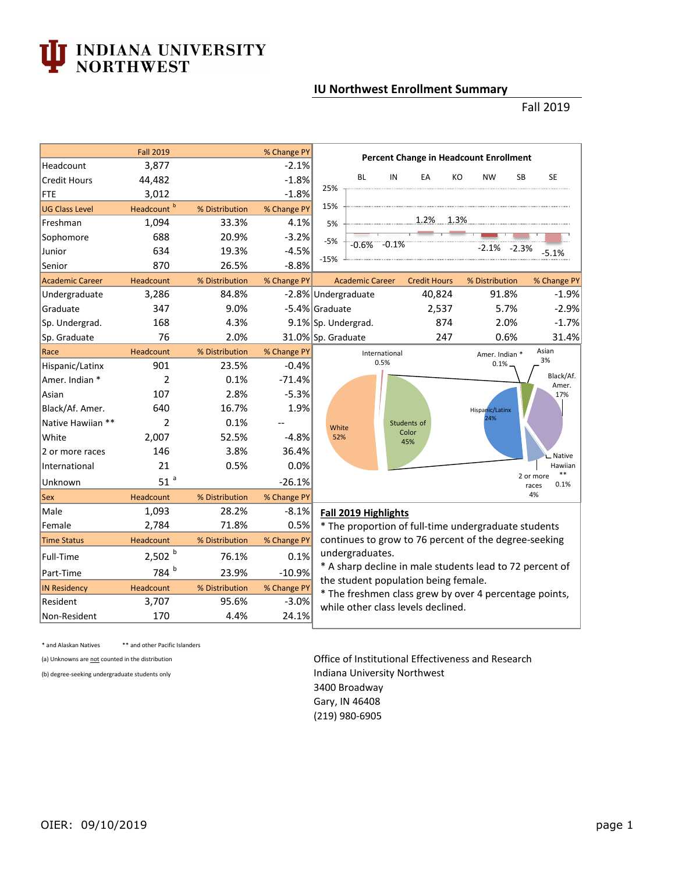## **INDIANA UNIVERSITY<br>NORTHWEST**

## **IU Northwest Enrollment Summary**

## Fall 2019

|                        | <b>Fall 2019</b>       |                | % Change PY | <b>Percent Change in Headcount Enrollment</b>                                                                       |                        |                      |                     |     |                 |           |                                     |
|------------------------|------------------------|----------------|-------------|---------------------------------------------------------------------------------------------------------------------|------------------------|----------------------|---------------------|-----|-----------------|-----------|-------------------------------------|
| Headcount              | 3,877                  |                | $-2.1%$     |                                                                                                                     |                        |                      |                     |     |                 |           |                                     |
| <b>Credit Hours</b>    | 44,482                 |                | $-1.8%$     | 25%                                                                                                                 | <b>BL</b>              | IN                   | EA                  | KO  | <b>NW</b>       | <b>SB</b> | <b>SE</b>                           |
| <b>FTE</b>             | 3,012                  |                | $-1.8%$     |                                                                                                                     |                        |                      |                     |     |                 |           |                                     |
| <b>UG Class Level</b>  | Headcount <sup>b</sup> | % Distribution | % Change PY | 15%                                                                                                                 |                        |                      |                     |     |                 |           |                                     |
| Freshman               | 1,094                  | 33.3%          | 4.1%        | 5%                                                                                                                  |                        |                      | 1.2% 1.3%           |     |                 |           |                                     |
| Sophomore              | 688                    | 20.9%          | $-3.2%$     | $-5%$                                                                                                               |                        | $-0.6\% -0.1\%$      |                     |     |                 |           |                                     |
| Junior                 | 634                    | 19.3%          | $-4.5%$     |                                                                                                                     |                        |                      |                     |     | $-2.1\% -2.3\%$ |           | $-5.1%$                             |
| Senior                 | 870                    | 26.5%          | $-8.8%$     | $-15%$                                                                                                              |                        |                      |                     |     |                 |           |                                     |
| <b>Academic Career</b> | Headcount              | % Distribution | % Change PY |                                                                                                                     | <b>Academic Career</b> |                      | <b>Credit Hours</b> |     | % Distribution  |           | % Change PY                         |
| Undergraduate          | 3,286                  | 84.8%          |             | -2.8% Undergraduate                                                                                                 |                        |                      | 40,824              |     |                 | 91.8%     | $-1.9%$                             |
| Graduate               | 347                    | 9.0%           |             | -5.4% Graduate                                                                                                      |                        |                      | 2,537               |     |                 | 5.7%      | $-2.9%$                             |
| Sp. Undergrad.         | 168                    | 4.3%           |             |                                                                                                                     | 9.1% Sp. Undergrad.    |                      |                     | 874 |                 | 2.0%      | $-1.7%$                             |
| Sp. Graduate           | 76                     | 2.0%           |             |                                                                                                                     | 31.0% Sp. Graduate     |                      |                     | 247 |                 | 0.6%      | 31.4%                               |
| Race                   | Headcount              | % Distribution | % Change PY |                                                                                                                     |                        | International        |                     |     | Amer. Indian *  |           | Asian                               |
| Hispanic/Latinx        | 901                    | 23.5%          | $-0.4%$     |                                                                                                                     |                        | 0.5%                 |                     |     | 0.1%            |           | 3%                                  |
| Amer. Indian *         | $\overline{2}$         | 0.1%           | $-71.4%$    |                                                                                                                     |                        |                      |                     |     |                 |           | Black/Af.<br>Amer.                  |
| Asian                  | 107                    | 2.8%           | $-5.3%$     |                                                                                                                     |                        |                      |                     |     |                 |           | 17%                                 |
| Black/Af. Amer.        | 640                    | 16.7%          | 1.9%        |                                                                                                                     |                        |                      |                     |     | Hispanic/Latinx |           |                                     |
| Native Hawiian **      | $\overline{2}$         | 0.1%           |             | White                                                                                                               |                        |                      | Students of         |     | 24%             |           |                                     |
| White                  | 2,007                  | 52.5%          | $-4.8%$     | 52%                                                                                                                 |                        |                      | Color<br>45%        |     |                 |           |                                     |
| 2 or more races        | 146                    | 3.8%           | 36.4%       |                                                                                                                     |                        |                      |                     |     |                 |           | Native                              |
| International          | 21                     | 0.5%           | 0.0%        |                                                                                                                     |                        |                      |                     |     |                 |           | Hawiian                             |
| Unknown                | 51 <sup>a</sup>        |                | $-26.1%$    |                                                                                                                     |                        |                      |                     |     |                 |           | $***$<br>2 or more<br>0.1%<br>races |
| Sex                    | Headcount              | % Distribution | % Change PY |                                                                                                                     |                        |                      |                     |     |                 |           | 4%                                  |
| Male                   | 1,093                  | 28.2%          | $-8.1%$     |                                                                                                                     |                        | Fall 2019 Highlights |                     |     |                 |           |                                     |
| Female                 | 2,784                  | 71.8%          | 0.5%        | * The proportion of full-time undergraduate students                                                                |                        |                      |                     |     |                 |           |                                     |
| <b>Time Status</b>     | Headcount              | % Distribution | % Change PY | continues to grow to 76 percent of the degree-seeking                                                               |                        |                      |                     |     |                 |           |                                     |
| Full-Time              | 2,502 <sup>b</sup>     | 76.1%          | 0.1%        | undergraduates.<br>* A sharp decline in male students lead to 72 percent of<br>the student population being female. |                        |                      |                     |     |                 |           |                                     |
| Part-Time              | 784 b                  | 23.9%          | $-10.9%$    |                                                                                                                     |                        |                      |                     |     |                 |           |                                     |
| <b>IN Residency</b>    | Headcount              | % Distribution | % Change PY |                                                                                                                     |                        |                      |                     |     |                 |           |                                     |
| Resident               | 3,707                  | 95.6%          | $-3.0%$     | * The freshmen class grew by over 4 percentage points,<br>while other class levels declined.                        |                        |                      |                     |     |                 |           |                                     |
| Non-Resident           | 170                    | 4.4%           | 24.1%       |                                                                                                                     |                        |                      |                     |     |                 |           |                                     |

\* and Alaskan Natives \*\* and other Pacific Islanders

(a) Unknowns are not counted in the distribution **Contact Contact Contact Contact Contact Contact Contact Contact Contact Contact Contact Contact Contact Contact Contact Contact Contact Contact Contact Contact Contact Cont** (b) degree-seeking undergraduate students only **Indiana University Northwest** 3400 Broadway Gary, IN 46408 (219) 980-6905